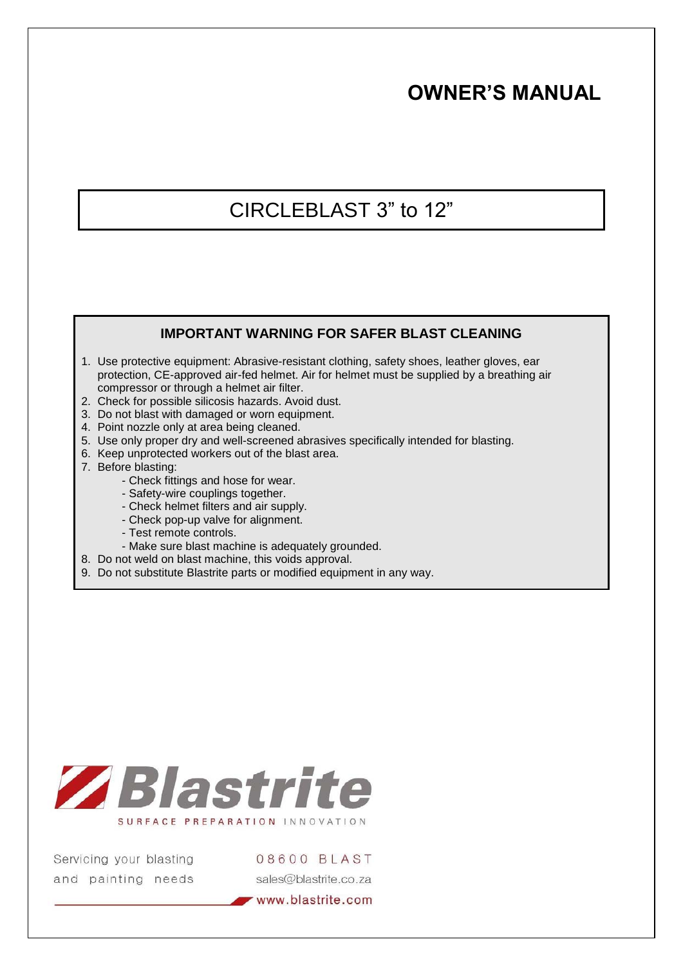# **OWNER'S MANUAL**

# CIRCLEBLAST 3" to 12"

## **IMPORTANT WARNING FOR SAFER BLAST CLEANING**

- 1. Use protective equipment: Abrasive-resistant clothing, safety shoes, leather gloves, ear protection, CE-approved air-fed helmet. Air for helmet must be supplied by a breathing air compressor or through a helmet air filter.
- 2. Check for possible silicosis hazards. Avoid dust.
- 3. Do not blast with damaged or worn equipment.
- 4. Point nozzle only at area being cleaned.
- 5. Use only proper dry and well-screened abrasives specifically intended for blasting.
- 6. Keep unprotected workers out of the blast area.
- 7. Before blasting:
	- Check fittings and hose for wear.
		- Safety-wire couplings together.
		- Check helmet filters and air supply.
		- Check pop-up valve for alignment.
		- Test remote controls.
	- Make sure blast machine is adequately grounded.
- 8. Do not weld on blast machine, this voids approval.
- 9. Do not substitute Blastrite parts or modified equipment in any way.



Servicing your blasting and painting needs 08600 BLAST sales@blastrite.co.za

www.blastrite.com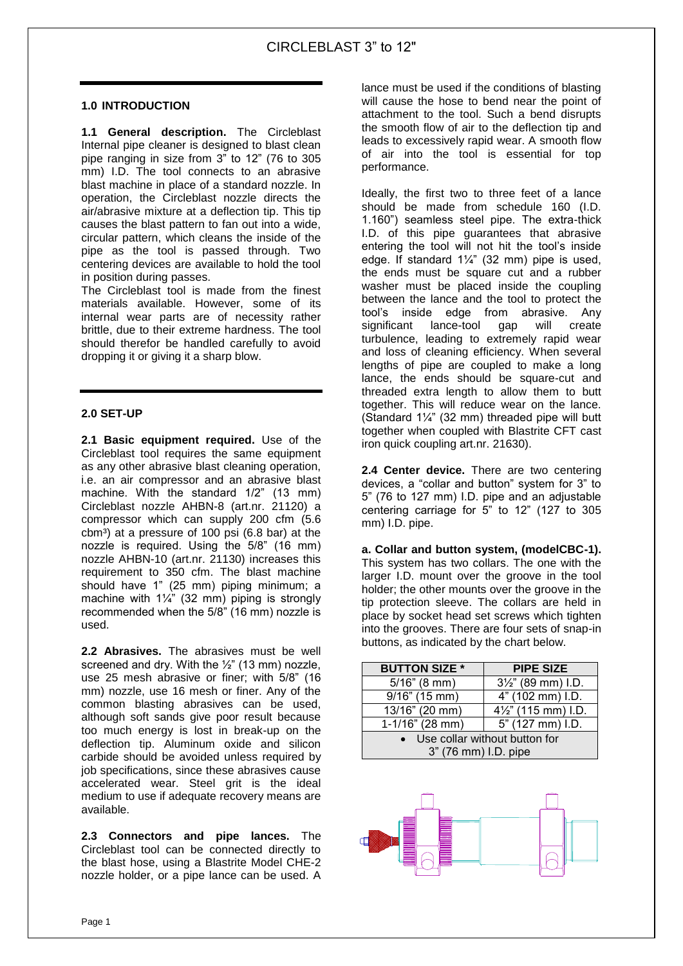#### **1.0 INTRODUCTION**

**1.1 General description.** The Circleblast Internal pipe cleaner is designed to blast clean pipe ranging in size from 3" to 12" (76 to 305 mm) I.D. The tool connects to an abrasive blast machine in place of a standard nozzle. In operation, the Circleblast nozzle directs the air/abrasive mixture at a deflection tip. This tip causes the blast pattern to fan out into a wide, circular pattern, which cleans the inside of the pipe as the tool is passed through. Two centering devices are available to hold the tool in position during passes.

The Circleblast tool is made from the finest materials available. However, some of its internal wear parts are of necessity rather brittle, due to their extreme hardness. The tool should therefor be handled carefully to avoid dropping it or giving it a sharp blow.

#### **2.0 SET-UP**

**2.1 Basic equipment required.** Use of the Circleblast tool requires the same equipment as any other abrasive blast cleaning operation, i.e. an air compressor and an abrasive blast machine. With the standard 1/2" (13 mm) Circleblast nozzle AHBN-8 (art.nr. 21120) a compressor which can supply 200 cfm (5.6  $cbm<sup>3</sup>$ ) at a pressure of 100 psi (6.8 bar) at the nozzle is required. Using the 5/8" (16 mm) nozzle AHBN-10 (art.nr. 21130) increases this requirement to 350 cfm. The blast machine should have 1" (25 mm) piping minimum; a machine with 1¼" (32 mm) piping is strongly recommended when the 5/8" (16 mm) nozzle is used.

**2.2 Abrasives.** The abrasives must be well screened and dry. With the  $\frac{1}{2}$ " (13 mm) nozzle, use 25 mesh abrasive or finer; with 5/8" (16 mm) nozzle, use 16 mesh or finer. Any of the common blasting abrasives can be used, although soft sands give poor result because too much energy is lost in break-up on the deflection tip. Aluminum oxide and silicon carbide should be avoided unless required by job specifications, since these abrasives cause accelerated wear. Steel grit is the ideal medium to use if adequate recovery means are available.

**2.3 Connectors and pipe lances.** The Circleblast tool can be connected directly to the blast hose, using a Blastrite Model CHE-2 nozzle holder, or a pipe lance can be used. A

lance must be used if the conditions of blasting will cause the hose to bend near the point of attachment to the tool. Such a bend disrupts the smooth flow of air to the deflection tip and leads to excessively rapid wear. A smooth flow of air into the tool is essential for top performance.

Ideally, the first two to three feet of a lance should be made from schedule 160 (I.D. 1.160") seamless steel pipe. The extra-thick I.D. of this pipe guarantees that abrasive entering the tool will not hit the tool's inside edge. If standard  $1\frac{1}{4}$  (32 mm) pipe is used, the ends must be square cut and a rubber washer must be placed inside the coupling between the lance and the tool to protect the tool's inside edge from abrasive. Any significant lance-tool gap will create turbulence, leading to extremely rapid wear and loss of cleaning efficiency. When several lengths of pipe are coupled to make a long lance, the ends should be square-cut and threaded extra length to allow them to butt together. This will reduce wear on the lance. (Standard 1¼" (32 mm) threaded pipe will butt together when coupled with Blastrite CFT cast iron quick coupling art.nr. 21630).

**2.4 Center device.** There are two centering devices, a "collar and button" system for 3" to 5" (76 to 127 mm) I.D. pipe and an adjustable centering carriage for 5" to 12" (127 to 305 mm) I.D. pipe.

**a. Collar and button system, (modelCBC-1).** This system has two collars. The one with the larger I.D. mount over the groove in the tool holder; the other mounts over the groove in the tip protection sleeve. The collars are held in place by socket head set screws which tighten into the grooves. There are four sets of snap-in buttons, as indicated by the chart below.

| <b>PIPE SIZE</b>                                      |
|-------------------------------------------------------|
| $3\frac{1}{2}$ " (89 mm) I.D.                         |
| 4" (102 mm) I.D.                                      |
| 4 <sup>1</sup> / <sub>2</sub> " (115 mm) I.D.         |
| 5" (127 mm) I.D.                                      |
| Use collar without button for<br>3" (76 mm) I.D. pipe |
|                                                       |

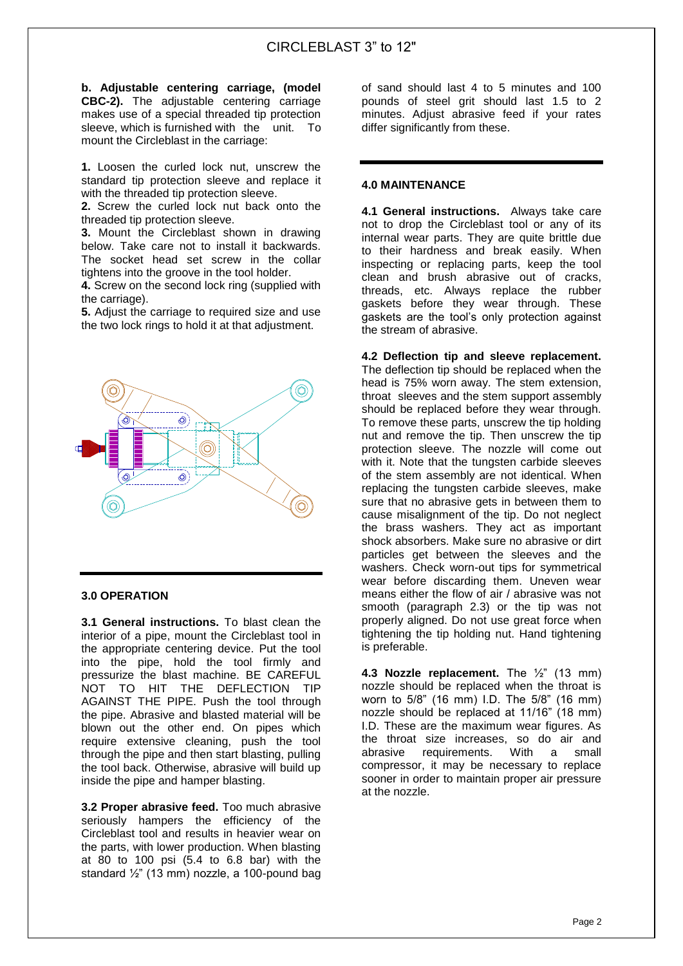# CIRCLEBLAST 3" to 12"

**b. Adjustable centering carriage, (model CBC-2).** The adjustable centering carriage makes use of a special threaded tip protection sleeve, which is furnished with the unit. To mount the Circleblast in the carriage:

**1.** Loosen the curled lock nut, unscrew the standard tip protection sleeve and replace it with the threaded tip protection sleeve.

**2.** Screw the curled lock nut back onto the threaded tip protection sleeve.

**3.** Mount the Circleblast shown in drawing below. Take care not to install it backwards. The socket head set screw in the collar tightens into the groove in the tool holder.

**4.** Screw on the second lock ring (supplied with the carriage).

**5.** Adjust the carriage to required size and use the two lock rings to hold it at that adjustment.



#### **3.0 OPERATION**

**3.1 General instructions.** To blast clean the interior of a pipe, mount the Circleblast tool in the appropriate centering device. Put the tool into the pipe, hold the tool firmly and pressurize the blast machine. BE CAREFUL NOT TO HIT THE DEFLECTION TIP AGAINST THE PIPE. Push the tool through the pipe. Abrasive and blasted material will be blown out the other end. On pipes which require extensive cleaning, push the tool through the pipe and then start blasting, pulling the tool back. Otherwise, abrasive will build up inside the pipe and hamper blasting.

**3.2 Proper abrasive feed.** Too much abrasive seriously hampers the efficiency of the Circleblast tool and results in heavier wear on the parts, with lower production. When blasting at 80 to 100 psi (5.4 to 6.8 bar) with the standard  $\frac{1}{2}$ " (13 mm) nozzle, a 100-pound bag

of sand should last 4 to 5 minutes and 100 pounds of steel grit should last 1.5 to 2 minutes. Adjust abrasive feed if your rates differ significantly from these.

#### **4.0 MAINTENANCE**

**4.1 General instructions.** Always take care not to drop the Circleblast tool or any of its internal wear parts. They are quite brittle due to their hardness and break easily. When inspecting or replacing parts, keep the tool clean and brush abrasive out of cracks, threads, etc. Always replace the rubber gaskets before they wear through. These gaskets are the tool's only protection against the stream of abrasive.

**4.2 Deflection tip and sleeve replacement.** The deflection tip should be replaced when the head is 75% worn away. The stem extension, throat sleeves and the stem support assembly should be replaced before they wear through. To remove these parts, unscrew the tip holding nut and remove the tip. Then unscrew the tip protection sleeve. The nozzle will come out with it. Note that the tungsten carbide sleeves of the stem assembly are not identical. When replacing the tungsten carbide sleeves, make sure that no abrasive gets in between them to cause misalignment of the tip. Do not neglect the brass washers. They act as important shock absorbers. Make sure no abrasive or dirt particles get between the sleeves and the washers. Check worn-out tips for symmetrical wear before discarding them. Uneven wear means either the flow of air / abrasive was not smooth (paragraph 2.3) or the tip was not properly aligned. Do not use great force when tightening the tip holding nut. Hand tightening is preferable.

**4.3 Nozzle replacement.** The ½" (13 mm) nozzle should be replaced when the throat is worn to 5/8" (16 mm) I.D. The 5/8" (16 mm) nozzle should be replaced at 11/16" (18 mm) I.D. These are the maximum wear figures. As the throat size increases, so do air and abrasive requirements. With a small compressor, it may be necessary to replace sooner in order to maintain proper air pressure at the nozzle.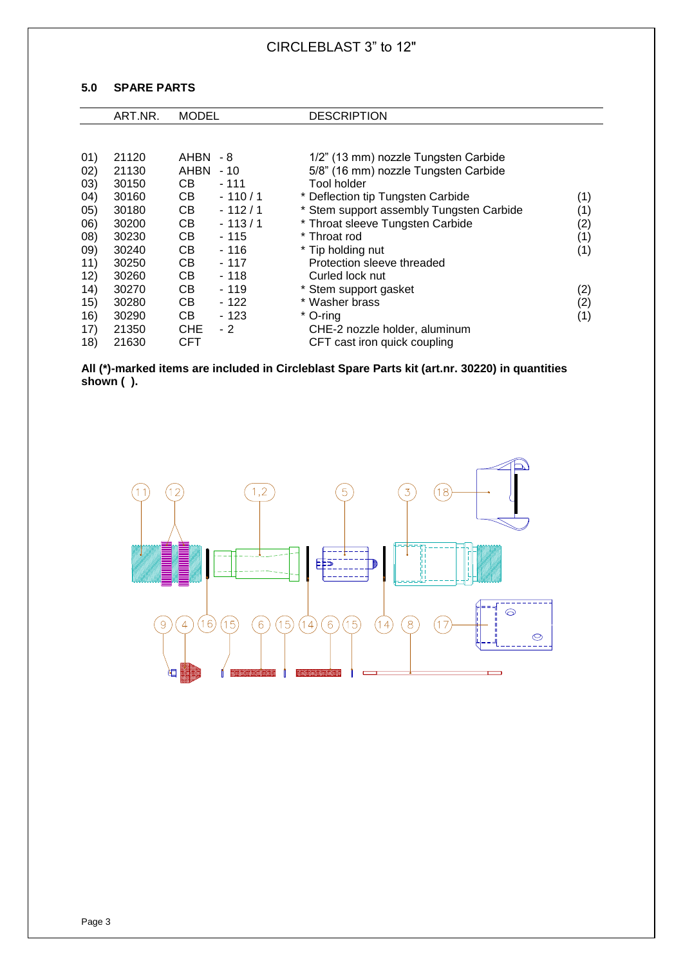### **5.0 SPARE PARTS**

|             | ART.NR.        | <b>MODEL</b>    |          | <b>DESCRIPTION</b>                                                           |     |
|-------------|----------------|-----------------|----------|------------------------------------------------------------------------------|-----|
|             |                |                 |          |                                                                              |     |
| (01)<br>02) | 21120<br>21130 | AHBN -8<br>AHBN | - 10     | 1/2" (13 mm) nozzle Tungsten Carbide<br>5/8" (16 mm) nozzle Tungsten Carbide |     |
| (03)        | 30150          | CB.             | $-111$   | Tool holder                                                                  |     |
| (04)        | 30160          | CВ              | $-110/1$ | * Deflection tip Tungsten Carbide                                            | (1) |
| (05)        | 30180          | CВ              | $-112/1$ | * Stem support assembly Tungsten Carbide                                     | (1) |
| (06)        | 30200          | СB              | $-113/1$ | * Throat sleeve Tungsten Carbide                                             | (2) |
| (08)        | 30230          | CВ              | $-115$   | * Throat rod                                                                 | (1) |
| 09)         | 30240          | CВ              | $-116$   | * Tip holding nut                                                            | (1) |
| 11)         | 30250          | CB.             | - 117    | Protection sleeve threaded                                                   |     |
| 12)         | 30260          | CВ              | $-118$   | Curled lock nut                                                              |     |
| 14)         | 30270          | CВ              | $-119$   | * Stem support gasket                                                        | (2) |
| 15)         | 30280          | CВ              | $-122$   | * Washer brass                                                               | (2) |
| 16)         | 30290          | CB.             | - 123    | * O-ring                                                                     | (1) |
| 17)         | 21350          | <b>CHE</b>      | $-2$     | CHE-2 nozzle holder, aluminum                                                |     |
| 18)         | 21630          | CFT             |          | CFT cast iron quick coupling                                                 |     |

**All (\*)-marked items are included in Circleblast Spare Parts kit (art.nr. 30220) in quantities shown ( ).** 

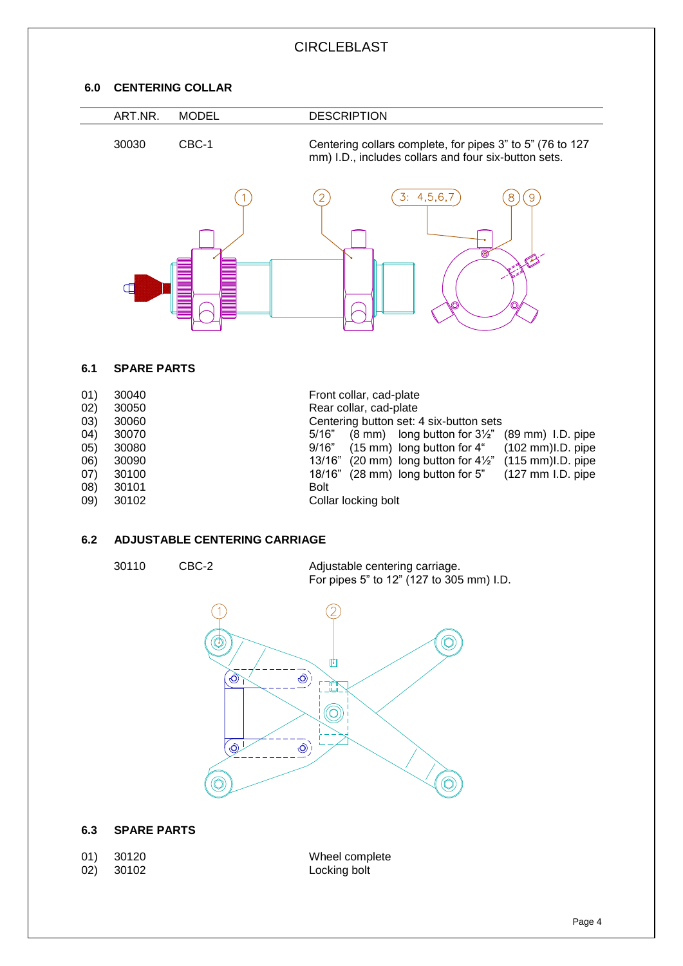# **CIRCLEBLAST**

### **6.0 CENTERING COLLAR**

 $\overline{\phantom{a}}$ 

| ART.NR. | <b>MODEL</b> | <b>DESCRIPTION</b>                                                                                                |
|---------|--------------|-------------------------------------------------------------------------------------------------------------------|
| 30030   | CBC-1        | Centering collars complete, for pipes 3" to 5" (76 to 127<br>mm) I.D., includes collars and four six-button sets. |
|         |              | 3: 4, 5, 6, 7<br>9<br>◎                                                                                           |

#### **6.1 SPARE PARTS**

| 01)<br>02) | 30040<br>30050 | Front collar, cad-plate<br>Rear collar, cad-plate                                         |
|------------|----------------|-------------------------------------------------------------------------------------------|
| (03)       | 30060          | Centering button set: 4 six-button sets                                                   |
| 04)        | 30070          | $(8 \text{ mm})$ long button for $3\frac{1}{2}$ $(89 \text{ mm})$ I.D. pipe<br>5/16"      |
| (05)       | 30080          | $(15 \text{ mm})$ long button for 4"<br>$(102 \text{ mm})$ I.D. pipe<br>9/16"             |
| 06)        | 30090          | $(20 \text{ mm})$ long button for $4\frac{1}{2}$ " $(115 \text{ mm})$ l.D. pipe<br>13/16" |
| (07)       | 30100          | 18/16" (28 mm) long button for 5"<br>$(127 \text{ mm } I.D.$ pipe                         |
| (08)       | 30101          | <b>Bolt</b>                                                                               |
| 09)        | 30102          | Collar locking bolt                                                                       |

## **6.2 ADJUSTABLE CENTERING CARRIAGE**

30110 CBC-2 Adjustable centering carriage. For pipes 5" to 12" (127 to 305 mm) I.D.



#### **6.3 SPARE PARTS**

01) 30120 Wheel complete 02) 30102 Locking bolt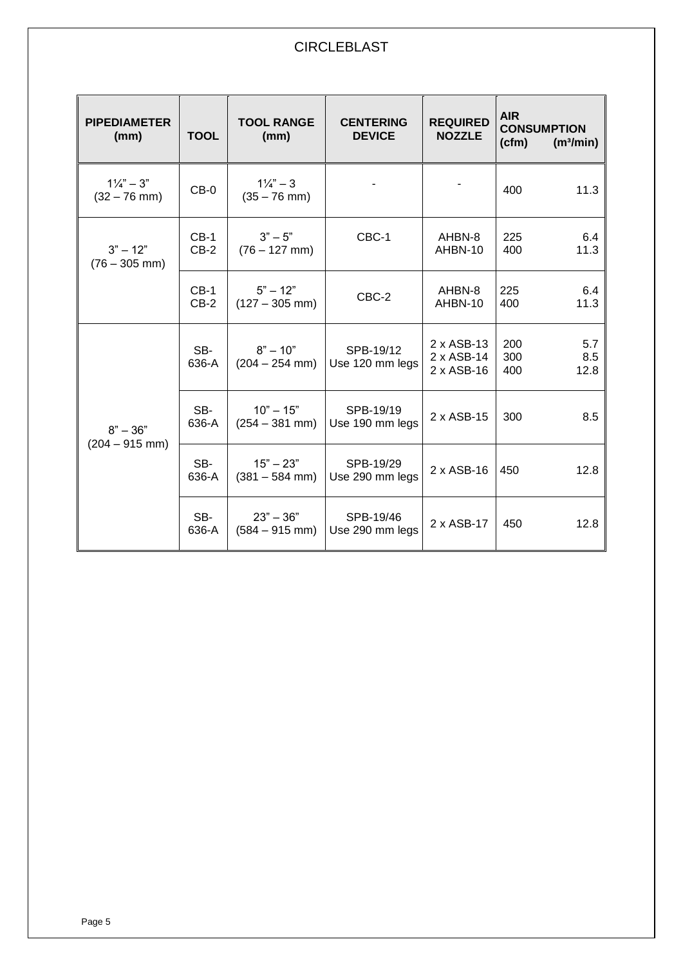| <b>PIPEDIAMETER</b><br>(mm)             | <b>TOOL</b>      | <b>TOOL RANGE</b><br>(mm)            | <b>CENTERING</b><br><b>DEVICE</b> | <b>REQUIRED</b><br><b>NOZZLE</b>       | <b>AIR</b><br><b>CONSUMPTION</b><br>(cfm)<br>(m <sup>3</sup> /min) |
|-----------------------------------------|------------------|--------------------------------------|-----------------------------------|----------------------------------------|--------------------------------------------------------------------|
| $1\frac{1}{4}$ " – 3"<br>$(32 - 76$ mm) | $CB-0$           | $1\frac{1}{4}$ – 3<br>$(35 - 76$ mm) |                                   |                                        | 400<br>11.3                                                        |
| $3" - 12"$<br>$(76 - 305$ mm)           | $CB-1$<br>$CB-2$ | $3" - 5"$<br>$(76 - 127$ mm)         | CBC-1                             | AHBN-8<br>AHBN-10                      | 225<br>6.4<br>400<br>11.3                                          |
|                                         | $CB-1$<br>$CB-2$ | $5" - 12"$<br>$(127 - 305$ mm)       | CBC-2                             | AHBN-8<br>AHBN-10                      | 225<br>6.4<br>11.3<br>400                                          |
|                                         | SB-<br>636-A     | $8" - 10"$<br>$(204 - 254$ mm)       | SPB-19/12<br>Use 120 mm legs      | 2 x ASB-13<br>2 x ASB-14<br>2 x ASB-16 | 200<br>5.7<br>300<br>8.5<br>400<br>12.8                            |
| $8" - 36"$                              | SB-<br>636-A     | $10" - 15"$<br>$(254 - 381$ mm)      | SPB-19/19<br>Use 190 mm legs      | 2 x ASB-15                             | 8.5<br>300                                                         |
| $(204 - 915$ mm)                        | SB-<br>636-A     | $15" - 23"$<br>$(381 - 584$ mm)      | SPB-19/29<br>Use 290 mm legs      | 2 x ASB-16                             | 12.8<br>450                                                        |
|                                         | SB-<br>636-A     | $23" - 36"$<br>$(584 - 915$ mm)      | SPB-19/46<br>Use 290 mm legs      | 2 x ASB-17                             | 12.8<br>450                                                        |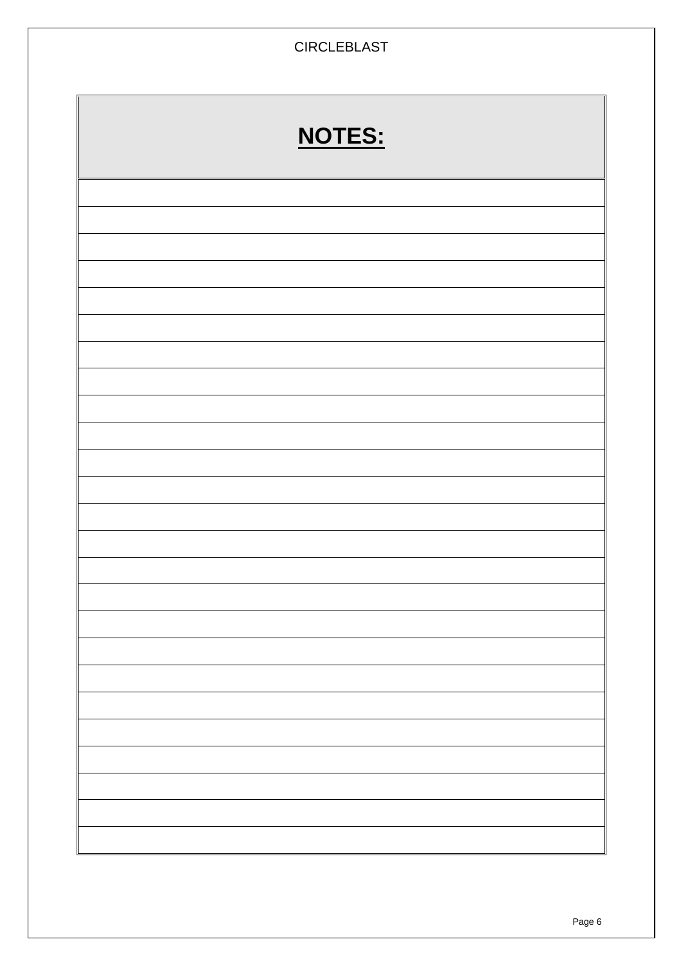| <b>CIRCLEBLAST</b> |        |  |
|--------------------|--------|--|
|                    | NOTES: |  |
|                    |        |  |
|                    |        |  |
|                    |        |  |
|                    |        |  |
|                    |        |  |
|                    |        |  |
|                    |        |  |
|                    |        |  |
|                    |        |  |
|                    |        |  |
|                    |        |  |
|                    |        |  |
|                    |        |  |
|                    |        |  |